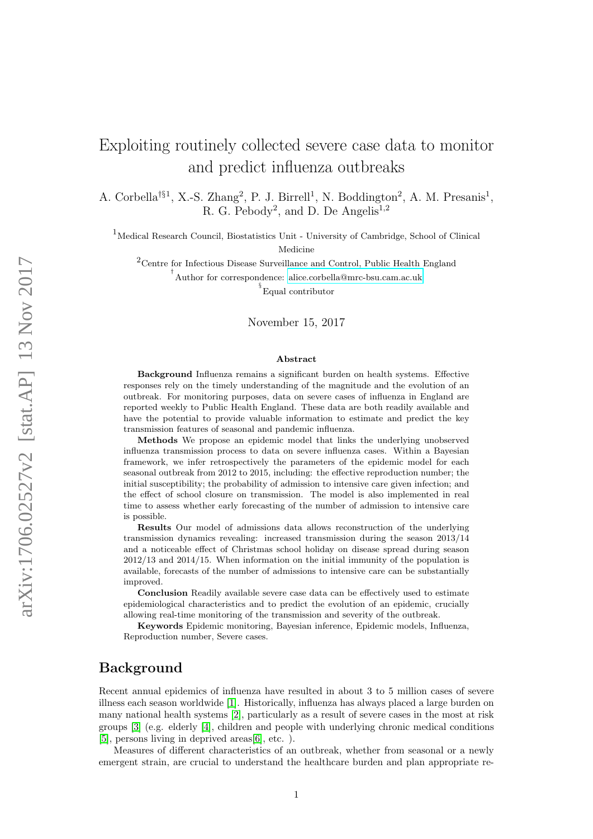# Exploiting routinely collected severe case data to monitor and predict influenza outbreaks

A. Corbella<sup>†§1</sup>, X.-S. Zhang<sup>2</sup>, P. J. Birrell<sup>1</sup>, N. Boddington<sup>2</sup>, A. M. Presanis<sup>1</sup>, R. G. Pebody<sup>2</sup>, and D. De Angelis<sup>1,2</sup>

<sup>1</sup>Medical Research Council, Biostatistics Unit - University of Cambridge, School of Clinical

Medicine

 $2$ Centre for Infectious Disease Surveillance and Control, Public Health England

† Author for correspondence: [alice.corbella@mrc-bsu.cam.ac.uk](mailto:alice.corbella@mrc-bsu.cam.ac.uk)

§ Equal contributor

#### November 15, 2017

#### Abstract

Background Influenza remains a significant burden on health systems. Effective responses rely on the timely understanding of the magnitude and the evolution of an outbreak. For monitoring purposes, data on severe cases of influenza in England are reported weekly to Public Health England. These data are both readily available and have the potential to provide valuable information to estimate and predict the key transmission features of seasonal and pandemic influenza.

Methods We propose an epidemic model that links the underlying unobserved influenza transmission process to data on severe influenza cases. Within a Bayesian framework, we infer retrospectively the parameters of the epidemic model for each seasonal outbreak from 2012 to 2015, including: the effective reproduction number; the initial susceptibility; the probability of admission to intensive care given infection; and the effect of school closure on transmission. The model is also implemented in real time to assess whether early forecasting of the number of admission to intensive care is possible.

Results Our model of admissions data allows reconstruction of the underlying transmission dynamics revealing: increased transmission during the season 2013/14 and a noticeable effect of Christmas school holiday on disease spread during season 2012/13 and 2014/15. When information on the initial immunity of the population is available, forecasts of the number of admissions to intensive care can be substantially improved.

Conclusion Readily available severe case data can be effectively used to estimate epidemiological characteristics and to predict the evolution of an epidemic, crucially allowing real-time monitoring of the transmission and severity of the outbreak.

Keywords Epidemic monitoring, Bayesian inference, Epidemic models, Influenza, Reproduction number, Severe cases.

## Background

Recent annual epidemics of influenza have resulted in about 3 to 5 million cases of severe illness each season worldwide [\[1\]](#page-11-0). Historically, influenza has always placed a large burden on many national health systems [\[2\]](#page-11-1), particularly as a result of severe cases in the most at risk groups [\[3\]](#page-11-2) (e.g. elderly [\[4\]](#page-11-3), children and people with underlying chronic medical conditions [\[5\]](#page-11-4), persons living in deprived areas[\[6\]](#page-11-5), etc. ).

Measures of different characteristics of an outbreak, whether from seasonal or a newly emergent strain, are crucial to understand the healthcare burden and plan appropriate re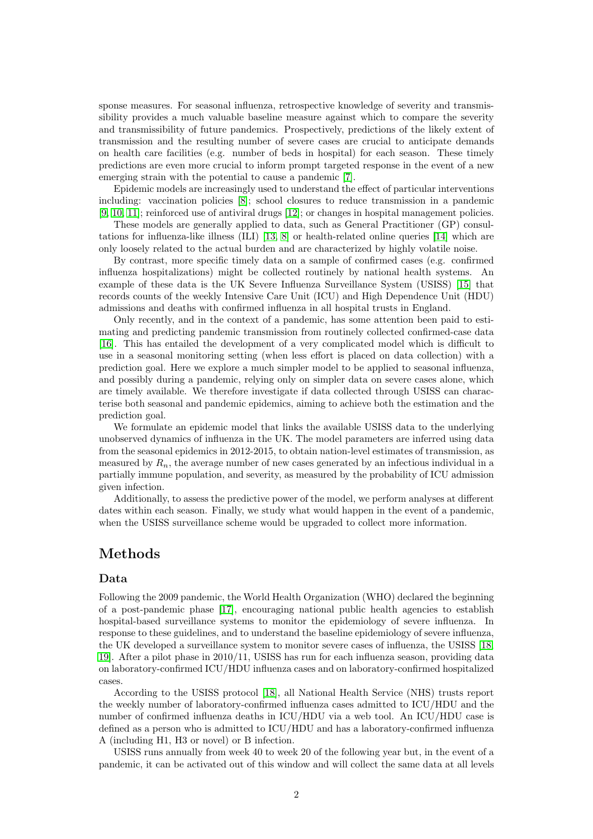sponse measures. For seasonal influenza, retrospective knowledge of severity and transmissibility provides a much valuable baseline measure against which to compare the severity and transmissibility of future pandemics. Prospectively, predictions of the likely extent of transmission and the resulting number of severe cases are crucial to anticipate demands on health care facilities (e.g. number of beds in hospital) for each season. These timely predictions are even more crucial to inform prompt targeted response in the event of a new emerging strain with the potential to cause a pandemic [\[7\]](#page-11-6).

Epidemic models are increasingly used to understand the effect of particular interventions including: vaccination policies [\[8\]](#page-11-7); school closures to reduce transmission in a pandemic [\[9,](#page-11-8) [10,](#page-11-9) [11\]](#page-11-10); reinforced use of antiviral drugs [\[12\]](#page-12-0); or changes in hospital management policies.

These models are generally applied to data, such as General Practitioner (GP) consultations for influenza-like illness (ILI) [\[13,](#page-12-1) [8\]](#page-11-7) or health-related online queries [\[14\]](#page-12-2) which are only loosely related to the actual burden and are characterized by highly volatile noise.

By contrast, more specific timely data on a sample of confirmed cases (e.g. confirmed influenza hospitalizations) might be collected routinely by national health systems. An example of these data is the UK Severe Influenza Surveillance System (USISS) [\[15\]](#page-12-3) that records counts of the weekly Intensive Care Unit (ICU) and High Dependence Unit (HDU) admissions and deaths with confirmed influenza in all hospital trusts in England.

Only recently, and in the context of a pandemic, has some attention been paid to estimating and predicting pandemic transmission from routinely collected confirmed-case data [\[16\]](#page-12-4). This has entailed the development of a very complicated model which is difficult to use in a seasonal monitoring setting (when less effort is placed on data collection) with a prediction goal. Here we explore a much simpler model to be applied to seasonal influenza, and possibly during a pandemic, relying only on simpler data on severe cases alone, which are timely available. We therefore investigate if data collected through USISS can characterise both seasonal and pandemic epidemics, aiming to achieve both the estimation and the prediction goal.

We formulate an epidemic model that links the available USISS data to the underlying unobserved dynamics of influenza in the UK. The model parameters are inferred using data from the seasonal epidemics in 2012-2015, to obtain nation-level estimates of transmission, as measured by  $R_n$ , the average number of new cases generated by an infectious individual in a partially immune population, and severity, as measured by the probability of ICU admission given infection.

Additionally, to assess the predictive power of the model, we perform analyses at different dates within each season. Finally, we study what would happen in the event of a pandemic, when the USISS surveillance scheme would be upgraded to collect more information.

## Methods

#### Data

Following the 2009 pandemic, the World Health Organization (WHO) declared the beginning of a post-pandemic phase [\[17\]](#page-12-5), encouraging national public health agencies to establish hospital-based surveillance systems to monitor the epidemiology of severe influenza. In response to these guidelines, and to understand the baseline epidemiology of severe influenza, the UK developed a surveillance system to monitor severe cases of influenza, the USISS [\[18,](#page-12-6) [19\]](#page-12-7). After a pilot phase in 2010/11, USISS has run for each influenza season, providing data on laboratory-confirmed ICU/HDU influenza cases and on laboratory-confirmed hospitalized cases.

According to the USISS protocol [\[18\]](#page-12-6), all National Health Service (NHS) trusts report the weekly number of laboratory-confirmed influenza cases admitted to ICU/HDU and the number of confirmed influenza deaths in ICU/HDU via a web tool. An ICU/HDU case is defined as a person who is admitted to ICU/HDU and has a laboratory-confirmed influenza A (including H1, H3 or novel) or B infection.

USISS runs annually from week 40 to week 20 of the following year but, in the event of a pandemic, it can be activated out of this window and will collect the same data at all levels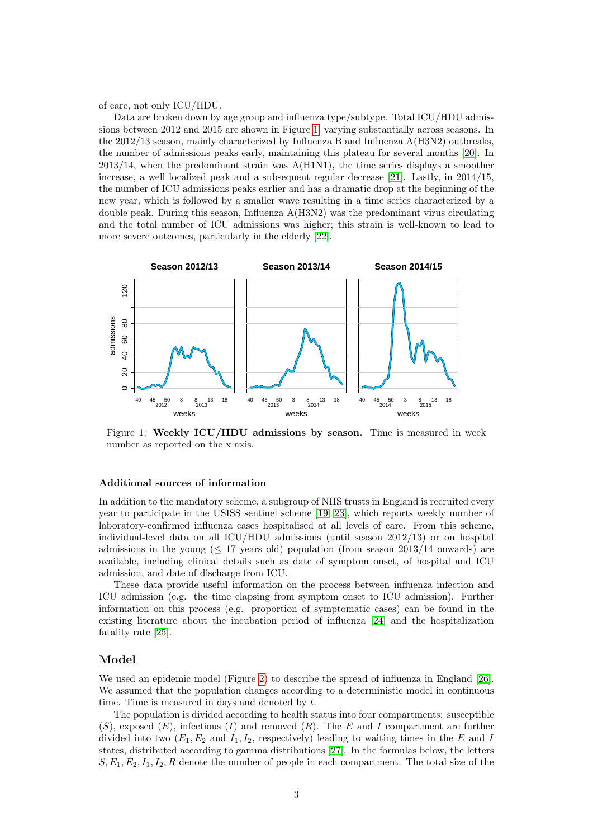of care, not only ICU/HDU.

Data are broken down by age group and influenza type/subtype. Total ICU/HDU admissions between 2012 and 2015 are shown in Figure [1,](#page-2-0) varying substantially across seasons. In the 2012/13 season, mainly characterized by Influenza B and Influenza A(H3N2) outbreaks, the number of admissions peaks early, maintaining this plateau for several months [\[20\]](#page-12-8). In  $2013/14$ , when the predominant strain was  $A(H1N1)$ , the time series displays a smoother increase, a well localized peak and a subsequent regular decrease [\[21\]](#page-12-9). Lastly, in 2014/15, the number of ICU admissions peaks earlier and has a dramatic drop at the beginning of the new year, which is followed by a smaller wave resulting in a time series characterized by a double peak. During this season, Influenza A(H3N2) was the predominant virus circulating and the total number of ICU admissions was higher; this strain is well-known to lead to more severe outcomes, particularly in the elderly [\[22\]](#page-12-10).

<span id="page-2-0"></span>

Figure 1: Weekly ICU/HDU admissions by season. Time is measured in week number as reported on the x axis.

#### Additional sources of information

In addition to the mandatory scheme, a subgroup of NHS trusts in England is recruited every year to participate in the USISS sentinel scheme [\[19,](#page-12-7) [23\]](#page-12-11), which reports weekly number of laboratory-confirmed influenza cases hospitalised at all levels of care. From this scheme, individual-level data on all ICU/HDU admissions (until season 2012/13) or on hospital admissions in the young  $(517 \text{ years old})$  population (from season 2013/14 onwards) are available, including clinical details such as date of symptom onset, of hospital and ICU admission, and date of discharge from ICU.

These data provide useful information on the process between influenza infection and ICU admission (e.g. the time elapsing from symptom onset to ICU admission). Further information on this process (e.g. proportion of symptomatic cases) can be found in the existing literature about the incubation period of influenza [\[24\]](#page-12-12) and the hospitalization fatality rate [\[25\]](#page-12-13).

#### Model

We used an epidemic model (Figure [2\)](#page-3-0) to describe the spread of influenza in England [\[26\]](#page-13-0). We assumed that the population changes according to a deterministic model in continuous time. Time is measured in days and denoted by  $t$ .

The population is divided according to health status into four compartments: susceptible  $(S)$ , exposed  $(E)$ , infectious  $(I)$  and removed  $(R)$ . The E and I compartment are further divided into two  $(E_1, E_2 \text{ and } I_1, I_2, \text{ respectively})$  leading to waiting times in the E and I states, distributed according to gamma distributions [\[27\]](#page-13-1). In the formulas below, the letters  $S, E_1, E_2, I_1, I_2, R$  denote the number of people in each compartment. The total size of the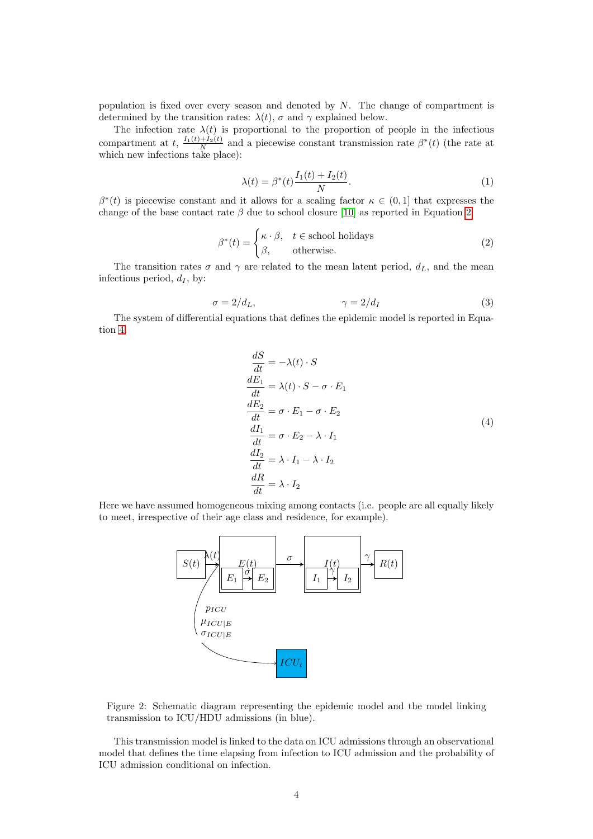population is fixed over every season and denoted by  $N$ . The change of compartment is determined by the transition rates:  $\lambda(t)$ ,  $\sigma$  and  $\gamma$  explained below.

The infection rate  $\lambda(t)$  is proportional to the proportion of people in the infectious compartment at t,  $\frac{I_1(t)+I_2(t)}{N}$  and a piecewise constant transmission rate  $\beta^*(t)$  (the rate at which new infections take place):

$$
\lambda(t) = \beta^*(t) \frac{I_1(t) + I_2(t)}{N}.
$$
\n(1)

 $\beta^*(t)$  is piecewise constant and it allows for a scaling factor  $\kappa \in (0,1]$  that expresses the change of the base contact rate  $\beta$  due to school closure [\[10\]](#page-11-9) as reported in Equation [2.](#page-3-1)

<span id="page-3-1"></span>
$$
\beta^*(t) = \begin{cases} \kappa \cdot \beta, & t \in \text{school holds} \\ \beta, & \text{otherwise.} \end{cases}
$$
 (2)

The transition rates  $\sigma$  and  $\gamma$  are related to the mean latent period,  $d_L$ , and the mean infectious period,  $d_I$ , by:

$$
\sigma = 2/d_L, \qquad \gamma = 2/d_I \tag{3}
$$

The system of differential equations that defines the epidemic model is reported in Equation [4.](#page-3-2)

$$
\frac{dS}{dt} = -\lambda(t) \cdot S
$$
\n
$$
\frac{dE_1}{dt} = \lambda(t) \cdot S - \sigma \cdot E_1
$$
\n
$$
\frac{dE_2}{dt} = \sigma \cdot E_1 - \sigma \cdot E_2
$$
\n
$$
\frac{dI_1}{dt} = \sigma \cdot E_2 - \lambda \cdot I_1
$$
\n
$$
\frac{dI_2}{dt} = \lambda \cdot I_1 - \lambda \cdot I_2
$$
\n
$$
\frac{dR}{dt} = \lambda \cdot I_2
$$
\n(4)

<span id="page-3-2"></span><span id="page-3-0"></span>Here we have assumed homogeneous mixing among contacts (i.e. people are all equally likely to meet, irrespective of their age class and residence, for example).



Figure 2: Schematic diagram representing the epidemic model and the model linking transmission to ICU/HDU admissions (in blue).

This transmission model is linked to the data on ICU admissions through an observational model that defines the time elapsing from infection to ICU admission and the probability of ICU admission conditional on infection.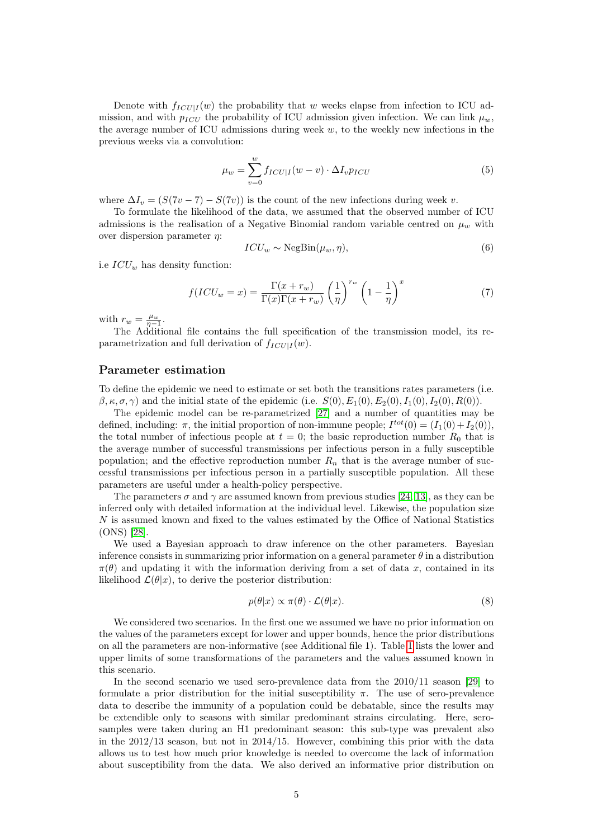Denote with  $f_{ICU|I}(w)$  the probability that w weeks elapse from infection to ICU admission, and with  $p_{ICU}$  the probability of ICU admission given infection. We can link  $\mu_w$ , the average number of ICU admissions during week  $w$ , to the weekly new infections in the previous weeks via a convolution:

$$
\mu_w = \sum_{v=0}^{w} f_{ICU|I}(w-v) \cdot \Delta I_v p_{ICU}
$$
\n(5)

where  $\Delta I_v = (S(7v - 7) - S(7v))$  is the count of the new infections during week v.

To formulate the likelihood of the data, we assumed that the observed number of ICU admissions is the realisation of a Negative Binomial random variable centred on  $\mu_w$  with over dispersion parameter  $\eta$ :

$$
ICU_w \sim \text{NegBin}(\mu_w, \eta),\tag{6}
$$

i.e  $ICU_w$  has density function:

$$
f(ICU_w = x) = \frac{\Gamma(x + r_w)}{\Gamma(x)\Gamma(x + r_w)} \left(\frac{1}{\eta}\right)^{r_w} \left(1 - \frac{1}{\eta}\right)^x \tag{7}
$$

with  $r_w = \frac{\mu_w}{\eta - 1}$ .

The Additional file contains the full specification of the transmission model, its reparametrization and full derivation of  $f_{ICU|I}(w)$ .

## Parameter estimation

To define the epidemic we need to estimate or set both the transitions rates parameters (i.e.  $β, κ, σ, γ)$  and the initial state of the epidemic (i.e.  $S(0), E_1(0), E_2(0), I_1(0), I_2(0), R(0)$ ).

The epidemic model can be re-parametrized [\[27\]](#page-13-1) and a number of quantities may be defined, including:  $\pi$ , the initial proportion of non-immune people;  $I^{tot}(0) = (I_1(0) + I_2(0)),$ the total number of infectious people at  $t = 0$ ; the basic reproduction number  $R_0$  that is the average number of successful transmissions per infectious person in a fully susceptible population; and the effective reproduction number  $R_n$  that is the average number of successful transmissions per infectious person in a partially susceptible population. All these parameters are useful under a health-policy perspective.

The parameters  $\sigma$  and  $\gamma$  are assumed known from previous studies [\[24,](#page-12-12) [13\]](#page-12-1), as they can be inferred only with detailed information at the individual level. Likewise, the population size N is assumed known and fixed to the values estimated by the Office of National Statistics (ONS) [\[28\]](#page-13-2).

We used a Bayesian approach to draw inference on the other parameters. Bayesian inference consists in summarizing prior information on a general parameter  $\theta$  in a distribution  $\pi(\theta)$  and updating it with the information deriving from a set of data x, contained in its likelihood  $\mathcal{L}(\theta|x)$ , to derive the posterior distribution:

$$
p(\theta|x) \propto \pi(\theta) \cdot \mathcal{L}(\theta|x). \tag{8}
$$

We considered two scenarios. In the first one we assumed we have no prior information on the values of the parameters except for lower and upper bounds, hence the prior distributions on all the parameters are non-informative (see Additional file 1). Table [1](#page-5-0) lists the lower and upper limits of some transformations of the parameters and the values assumed known in this scenario.

In the second scenario we used sero-prevalence data from the 2010/11 season [\[29\]](#page-13-3) to formulate a prior distribution for the initial susceptibility  $\pi$ . The use of sero-prevalence data to describe the immunity of a population could be debatable, since the results may be extendible only to seasons with similar predominant strains circulating. Here, serosamples were taken during an H1 predominant season: this sub-type was prevalent also in the 2012/13 season, but not in 2014/15. However, combining this prior with the data allows us to test how much prior knowledge is needed to overcome the lack of information about susceptibility from the data. We also derived an informative prior distribution on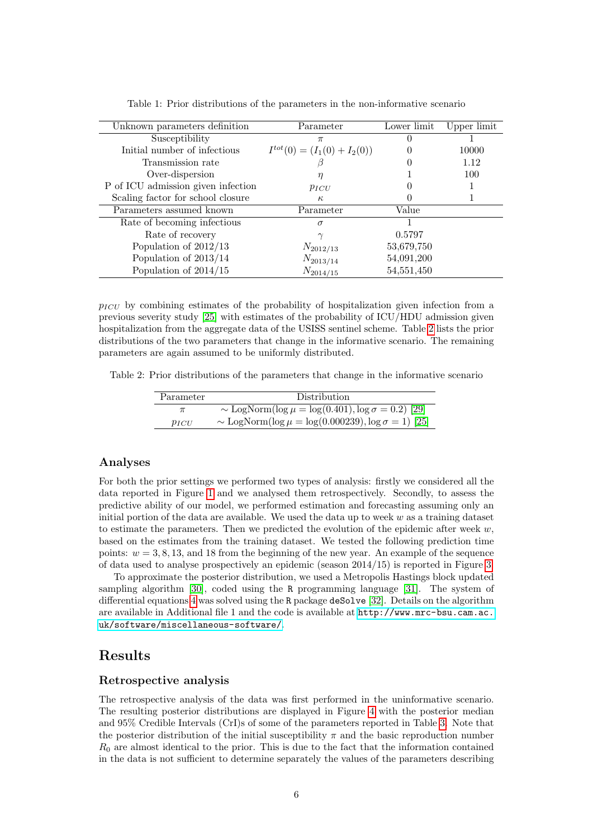<span id="page-5-0"></span>

| Unknown parameters definition      | Parameter                        | Lower limit  | Upper limit |
|------------------------------------|----------------------------------|--------------|-------------|
| Susceptibility                     | $\pi$                            |              |             |
| Initial number of infectious       | $I^{tot}(0) = (I_1(0) + I_2(0))$ | $\mathbf{0}$ | 10000       |
| Transmission rate                  |                                  |              | 1.12        |
| Over-dispersion                    |                                  |              | 100         |
| P of ICU admission given infection | $p_{ICU}$                        |              |             |
| Scaling factor for school closure  | $\kappa$                         |              |             |
| Parameters assumed known           | Parameter                        | Value        |             |
| Rate of becoming infectious        | $\sigma$                         |              |             |
| Rate of recovery                   |                                  | 0.5797       |             |
| Population of $2012/13$            | $N_{2012/13}$                    | 53,679,750   |             |
| Population of $2013/14$            | $N_{2013/14}$                    | 54,091,200   |             |
| Population of $2014/15$            | $N_{2014/15}$                    | 54, 551, 450 |             |

Table 1: Prior distributions of the parameters in the non-informative scenario

 $p_{ICU}$  by combining estimates of the probability of hospitalization given infection from a previous severity study [\[25\]](#page-12-13) with estimates of the probability of ICU/HDU admission given hospitalization from the aggregate data of the USISS sentinel scheme. Table [2](#page-5-1) lists the prior distributions of the two parameters that change in the informative scenario. The remaining parameters are again assumed to be uniformly distributed.

<span id="page-5-1"></span>Table 2: Prior distributions of the parameters that change in the informative scenario

| Parameter  | <b>Distribution</b>                                               |
|------------|-------------------------------------------------------------------|
|            | ~ LogNorm( $\log \mu = \log(0.401), \log \sigma = 0.2$ ) [29]     |
| $p_{ICII}$ | ~ LogNorm( $\log \mu = \log(0.000239)$ , $\log \sigma = 1$ ) [25] |

#### Analyses

For both the prior settings we performed two types of analysis: firstly we considered all the data reported in Figure [1](#page-2-0) and we analysed them retrospectively. Secondly, to assess the predictive ability of our model, we performed estimation and forecasting assuming only an initial portion of the data are available. We used the data up to week  $w$  as a training dataset to estimate the parameters. Then we predicted the evolution of the epidemic after week  $w$ , based on the estimates from the training dataset. We tested the following prediction time points:  $w = 3, 8, 13$ , and 18 from the beginning of the new year. An example of the sequence of data used to analyse prospectively an epidemic (season 2014/15) is reported in Figure [3.](#page-6-0)

To approximate the posterior distribution, we used a Metropolis Hastings block updated sampling algorithm [\[30\]](#page-13-4), coded using the R programming language [\[31\]](#page-13-5). The system of differential equations [4](#page-3-2) was solved using the R package deSolve [\[32\]](#page-13-6). Details on the algorithm are available in Additional file 1 and the code is available at [http://www.mrc-bsu.cam.ac.](http://www.mrc-bsu.cam.ac.uk/software/miscellaneous-software/) [uk/software/miscellaneous-software/](http://www.mrc-bsu.cam.ac.uk/software/miscellaneous-software/).

## Results

#### Retrospective analysis

The retrospective analysis of the data was first performed in the uninformative scenario. The resulting posterior distributions are displayed in Figure [4](#page-6-1) with the posterior median and 95% Credible Intervals (CrI)s of some of the parameters reported in Table [3.](#page-7-0) Note that the posterior distribution of the initial susceptibility  $\pi$  and the basic reproduction number  $R_0$  are almost identical to the prior. This is due to the fact that the information contained in the data is not sufficient to determine separately the values of the parameters describing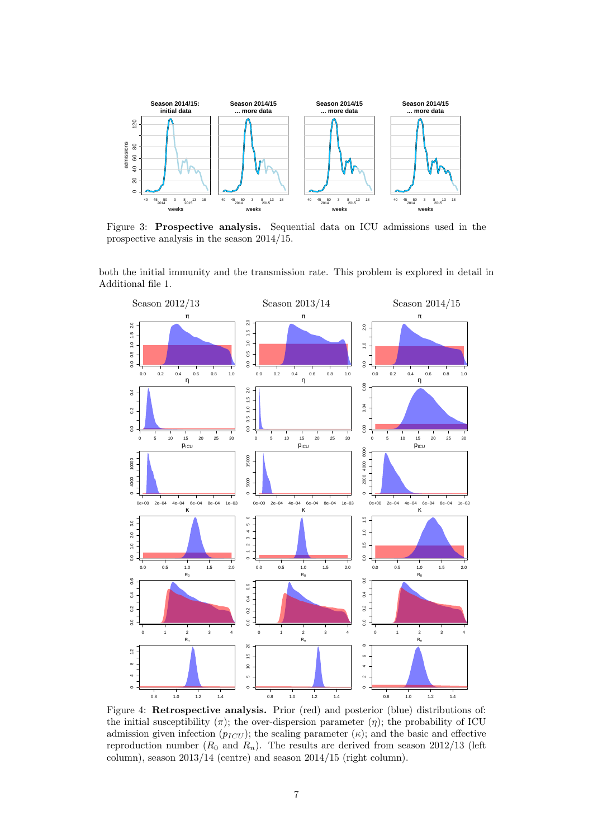<span id="page-6-0"></span>

Figure 3: Prospective analysis. Sequential data on ICU admissions used in the prospective analysis in the season 2014/15.

both the initial immunity and the transmission rate. This problem is explored in detail in Additional file 1.

<span id="page-6-1"></span>

Figure 4: Retrospective analysis. Prior (red) and posterior (blue) distributions of: the initial susceptibility  $(\pi)$ ; the over-dispersion parameter  $(\eta)$ ; the probability of ICU admission given infection  $(p_{ICU})$ ; the scaling parameter  $(\kappa)$ ; and the basic and effective reproduction number  $(R_0$  and  $R_n)$ . The results are derived from season 2012/13 (left column), season 2013/14 (centre) and season 2014/15 (right column).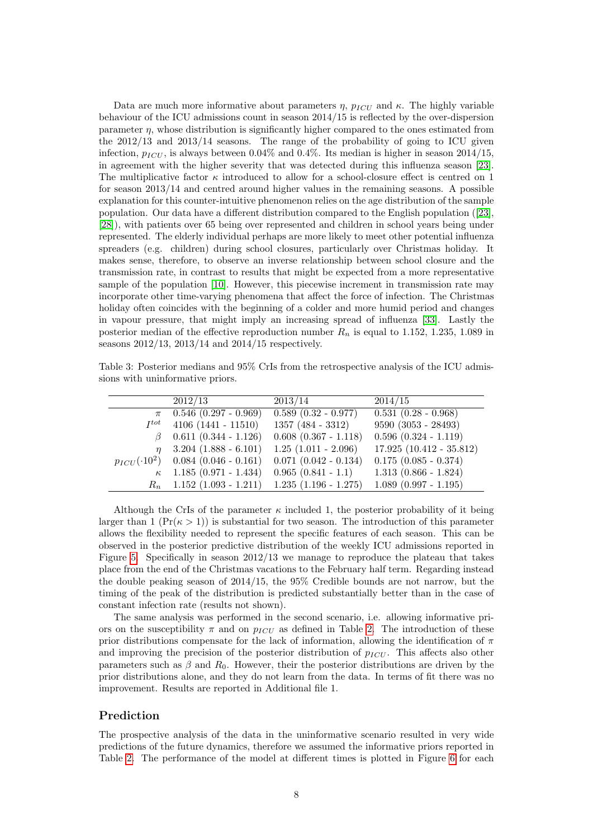Data are much more informative about parameters  $\eta$ ,  $p_{ICU}$  and  $\kappa$ . The highly variable behaviour of the ICU admissions count in season 2014/15 is reflected by the over-dispersion parameter  $\eta$ , whose distribution is significantly higher compared to the ones estimated from the 2012/13 and 2013/14 seasons. The range of the probability of going to ICU given infection,  $p_{ICU}$ , is always between 0.04% and 0.4%. Its median is higher in season 2014/15, in agreement with the higher severity that was detected during this influenza season [\[23\]](#page-12-11). The multiplicative factor  $\kappa$  introduced to allow for a school-closure effect is centred on 1 for season 2013/14 and centred around higher values in the remaining seasons. A possible explanation for this counter-intuitive phenomenon relies on the age distribution of the sample population. Our data have a different distribution compared to the English population ([\[23\]](#page-12-11), [\[28\]](#page-13-2)), with patients over 65 being over represented and children in school years being under represented. The elderly individual perhaps are more likely to meet other potential influenza spreaders (e.g. children) during school closures, particularly over Christmas holiday. It makes sense, therefore, to observe an inverse relationship between school closure and the transmission rate, in contrast to results that might be expected from a more representative sample of the population [\[10\]](#page-11-9). However, this piecewise increment in transmission rate may incorporate other time-varying phenomena that affect the force of infection. The Christmas holiday often coincides with the beginning of a colder and more humid period and changes in vapour pressure, that might imply an increasing spread of influenza [\[33\]](#page-13-7). Lastly the posterior median of the effective reproduction number  $R_n$  is equal to 1.152, 1.235, 1.089 in seasons 2012/13, 2013/14 and 2014/15 respectively.

<span id="page-7-0"></span>Table 3: Posterior medians and 95% CrIs from the retrospective analysis of the ICU admissions with uninformative priors.

|                   | 2012/13                     | 2013/14                          | 2014/15                   |
|-------------------|-----------------------------|----------------------------------|---------------------------|
|                   | $\pi$ 0.546 (0.297 - 0.969) | $\overline{0.589(0.32 - 0.977)}$ | $0.531(0.28 - 0.968)$     |
| $I^{tot}$         | $4106 (1441 - 11510)$       | $1357 (484 - 3312)$              | $9590 (3053 - 28493)$     |
|                   | $0.611$ $(0.344 - 1.126)$   | $0.608$ $(0.367 - 1.118)$        | $0.596$ $(0.324 - 1.119)$ |
| $\eta$            | $3.204$ $(1.888 - 6.101)$   | $1.25$ $(1.011 - 2.096)$         | $17.925(10.412 - 35.812)$ |
| $p_{ICU}(0.10^2)$ | $0.084$ (0.046 - 0.161)     | $0.071$ $(0.042 - 0.134)$        | $0.175$ $(0.085 - 0.374)$ |
| $\kappa$          | $1.185(0.971 - 1.434)$      | $0.965(0.841 - 1.1)$             | $1.313(0.866 - 1.824)$    |
| $R_n$             | $1.152(1.093 - 1.211)$      | $1.235$ $(1.196 - 1.275)$        | $1.089$ $(0.997 - 1.195)$ |

Although the CrIs of the parameter  $\kappa$  included 1, the posterior probability of it being larger than 1 ( $Pr(\kappa > 1)$ ) is substantial for two season. The introduction of this parameter allows the flexibility needed to represent the specific features of each season. This can be observed in the posterior predictive distribution of the weekly ICU admissions reported in Figure [5.](#page-8-0) Specifically in season 2012/13 we manage to reproduce the plateau that takes place from the end of the Christmas vacations to the February half term. Regarding instead the double peaking season of 2014/15, the 95% Credible bounds are not narrow, but the timing of the peak of the distribution is predicted substantially better than in the case of constant infection rate (results not shown).

The same analysis was performed in the second scenario, i.e. allowing informative priors on the susceptibility  $\pi$  and on  $p_{ICU}$  as defined in Table [2.](#page-5-1) The introduction of these prior distributions compensate for the lack of information, allowing the identification of  $\pi$ and improving the precision of the posterior distribution of  $p_{ICU}$ . This affects also other parameters such as  $\beta$  and  $R_0$ . However, their the posterior distributions are driven by the prior distributions alone, and they do not learn from the data. In terms of fit there was no improvement. Results are reported in Additional file 1.

#### Prediction

The prospective analysis of the data in the uninformative scenario resulted in very wide predictions of the future dynamics, therefore we assumed the informative priors reported in Table [2.](#page-5-1) The performance of the model at different times is plotted in Figure [6](#page-9-0) for each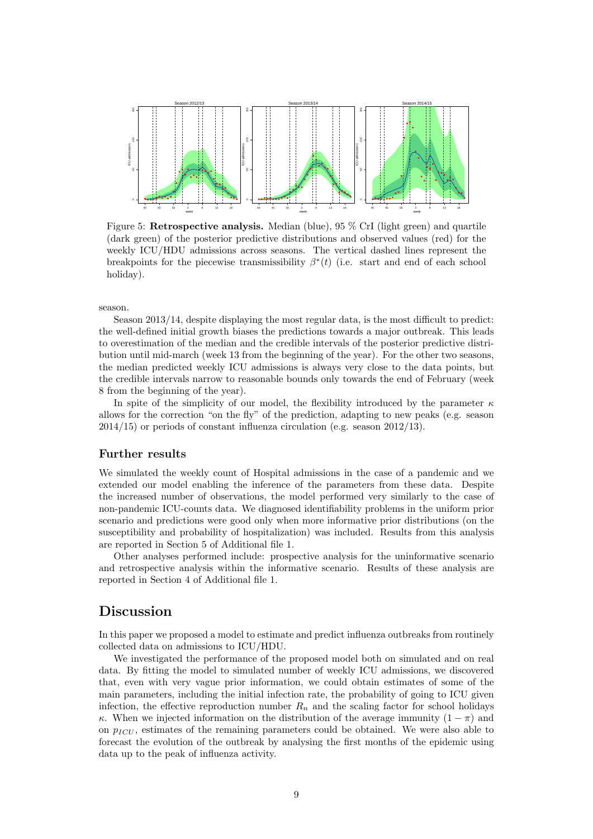<span id="page-8-0"></span>

Figure 5: Retrospective analysis. Median (blue), 95 % CrI (light green) and quartile (dark green) of the posterior predictive distributions and observed values (red) for the weekly ICU/HDU admissions across seasons. The vertical dashed lines represent the breakpoints for the piecewise transmissibility  $\beta^*(t)$  (i.e. start and end of each school holiday).

season.

Season 2013/14, despite displaying the most regular data, is the most difficult to predict: the well-defined initial growth biases the predictions towards a major outbreak. This leads to overestimation of the median and the credible intervals of the posterior predictive distribution until mid-march (week 13 from the beginning of the year). For the other two seasons, the median predicted weekly ICU admissions is always very close to the data points, but the credible intervals narrow to reasonable bounds only towards the end of February (week 8 from the beginning of the year).

In spite of the simplicity of our model, the flexibility introduced by the parameter  $\kappa$ allows for the correction "on the fly" of the prediction, adapting to new peaks (e.g. season 2014/15) or periods of constant influenza circulation (e.g. season 2012/13).

#### Further results

We simulated the weekly count of Hospital admissions in the case of a pandemic and we extended our model enabling the inference of the parameters from these data. Despite the increased number of observations, the model performed very similarly to the case of non-pandemic ICU-counts data. We diagnosed identifiability problems in the uniform prior scenario and predictions were good only when more informative prior distributions (on the susceptibility and probability of hospitalization) was included. Results from this analysis are reported in Section 5 of Additional file 1.

Other analyses performed include: prospective analysis for the uninformative scenario and retrospective analysis within the informative scenario. Results of these analysis are reported in Section 4 of Additional file 1.

## Discussion

In this paper we proposed a model to estimate and predict influenza outbreaks from routinely collected data on admissions to ICU/HDU.

We investigated the performance of the proposed model both on simulated and on real data. By fitting the model to simulated number of weekly ICU admissions, we discovered that, even with very vague prior information, we could obtain estimates of some of the main parameters, including the initial infection rate, the probability of going to ICU given infection, the effective reproduction number  $R_n$  and the scaling factor for school holidays κ. When we injected information on the distribution of the average immunity  $(1 - \pi)$  and on  $p_{ICU}$ , estimates of the remaining parameters could be obtained. We were also able to forecast the evolution of the outbreak by analysing the first months of the epidemic using data up to the peak of influenza activity.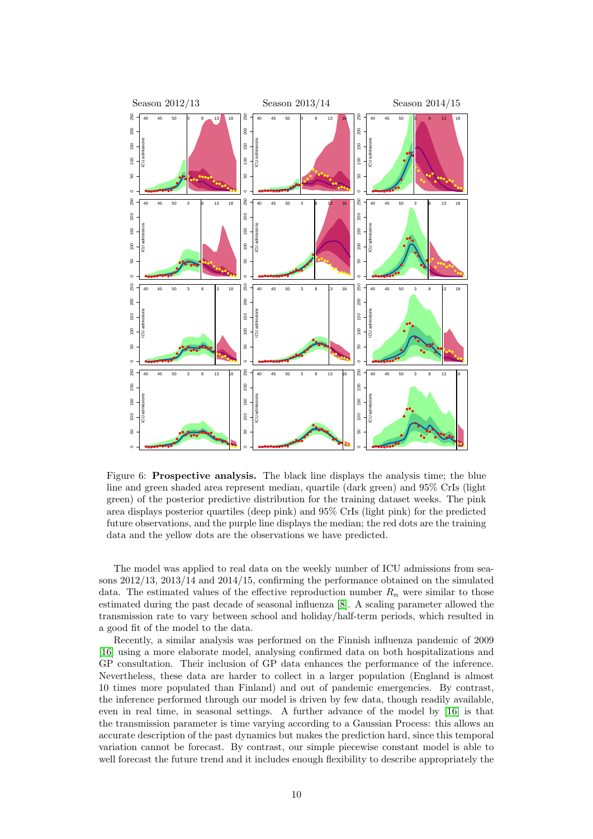<span id="page-9-0"></span>

Figure 6: Prospective analysis. The black line displays the analysis time; the blue line and green shaded area represent median, quartile (dark green) and 95% CrIs (light green) of the posterior predictive distribution for the training dataset weeks. The pink area displays posterior quartiles (deep pink) and 95% CrIs (light pink) for the predicted future observations, and the purple line displays the median; the red dots are the training data and the yellow dots are the observations we have predicted.

The model was applied to real data on the weekly number of ICU admissions from seasons 2012/13, 2013/14 and 2014/15, confirming the performance obtained on the simulated data. The estimated values of the effective reproduction number  $R_n$  were similar to those estimated during the past decade of seasonal influenza [\[8\]](#page-11-7). A scaling parameter allowed the transmission rate to vary between school and holiday/half-term periods, which resulted in a good fit of the model to the data.

Recently, a similar analysis was performed on the Finnish influenza pandemic of 2009 [\[16\]](#page-12-4) using a more elaborate model, analysing confirmed data on both hospitalizations and GP consultation. Their inclusion of GP data enhances the performance of the inference. Nevertheless, these data are harder to collect in a larger population (England is almost 10 times more populated than Finland) and out of pandemic emergencies. By contrast, the inference performed through our model is driven by few data, though readily available, even in real time, in seasonal settings. A further advance of the model by [\[16\]](#page-12-4) is that the transmission parameter is time varying according to a Gaussian Process: this allows an accurate description of the past dynamics but makes the prediction hard, since this temporal variation cannot be forecast. By contrast, our simple piecewise constant model is able to well forecast the future trend and it includes enough flexibility to describe appropriately the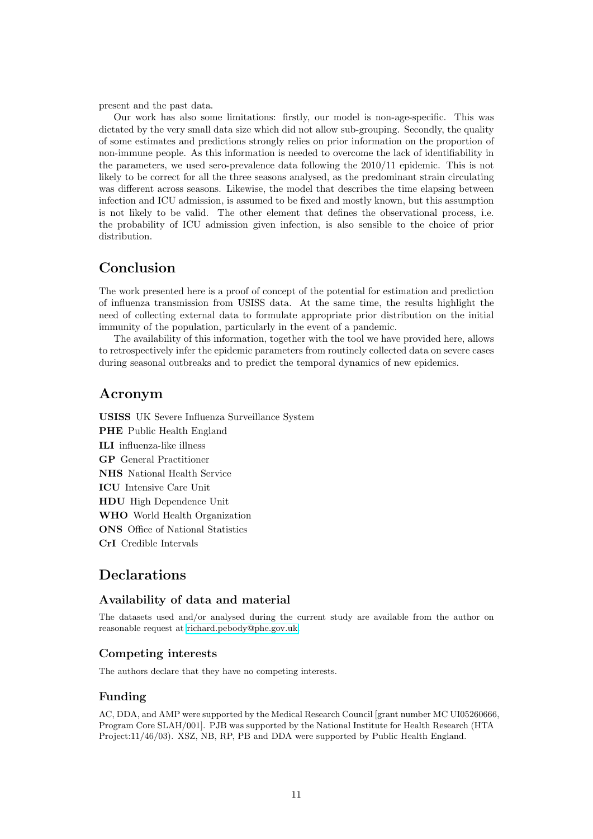present and the past data.

Our work has also some limitations: firstly, our model is non-age-specific. This was dictated by the very small data size which did not allow sub-grouping. Secondly, the quality of some estimates and predictions strongly relies on prior information on the proportion of non-immune people. As this information is needed to overcome the lack of identifiability in the parameters, we used sero-prevalence data following the 2010/11 epidemic. This is not likely to be correct for all the three seasons analysed, as the predominant strain circulating was different across seasons. Likewise, the model that describes the time elapsing between infection and ICU admission, is assumed to be fixed and mostly known, but this assumption is not likely to be valid. The other element that defines the observational process, i.e. the probability of ICU admission given infection, is also sensible to the choice of prior distribution.

# Conclusion

The work presented here is a proof of concept of the potential for estimation and prediction of influenza transmission from USISS data. At the same time, the results highlight the need of collecting external data to formulate appropriate prior distribution on the initial immunity of the population, particularly in the event of a pandemic.

The availability of this information, together with the tool we have provided here, allows to retrospectively infer the epidemic parameters from routinely collected data on severe cases during seasonal outbreaks and to predict the temporal dynamics of new epidemics.

## Acronym

USISS UK Severe Influenza Surveillance System PHE Public Health England ILI influenza-like illness GP General Practitioner NHS National Health Service ICU Intensive Care Unit HDU High Dependence Unit WHO World Health Organization ONS Office of National Statistics CrI Credible Intervals

## **Declarations**

## Availability of data and material

The datasets used and/or analysed during the current study are available from the author on reasonable request at [richard.pebody@phe.gov.uk.](mailto:richard.pebody@phe.gov.uk)

## Competing interests

The authors declare that they have no competing interests.

#### Funding

AC, DDA, and AMP were supported by the Medical Research Council [grant number MC UI05260666, Program Core SLAH/001]. PJB was supported by the National Institute for Health Research (HTA Project:11/46/03). XSZ, NB, RP, PB and DDA were supported by Public Health England.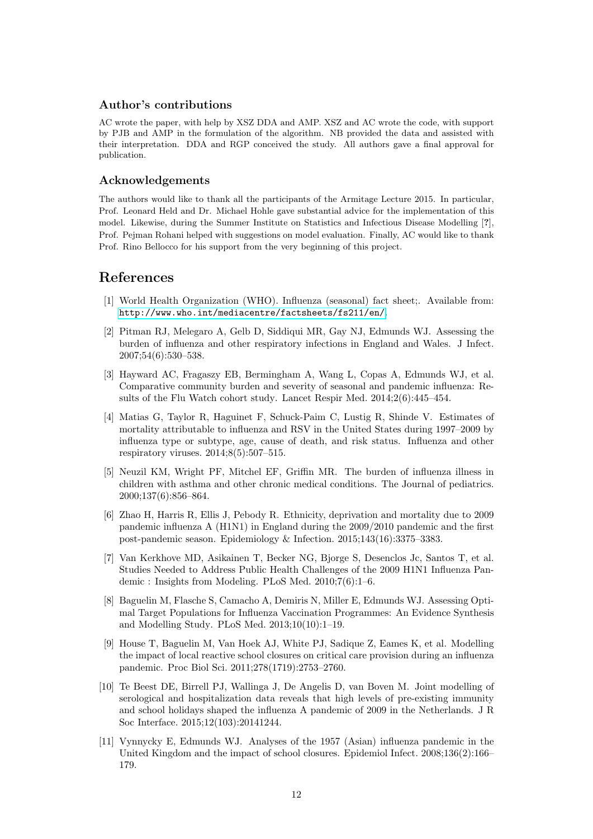#### Author's contributions

AC wrote the paper, with help by XSZ DDA and AMP. XSZ and AC wrote the code, with support by PJB and AMP in the formulation of the algorithm. NB provided the data and assisted with their interpretation. DDA and RGP conceived the study. All authors gave a final approval for publication.

#### Acknowledgements

The authors would like to thank all the participants of the Armitage Lecture 2015. In particular, Prof. Leonard Held and Dr. Michael Hohle gave substantial advice for the implementation of this model. Likewise, during the Summer Institute on Statistics and Infectious Disease Modelling [?], Prof. Pejman Rohani helped with suggestions on model evaluation. Finally, AC would like to thank Prof. Rino Bellocco for his support from the very beginning of this project.

## References

- <span id="page-11-0"></span>[1] World Health Organization (WHO). Influenza (seasonal) fact sheet;. Available from: <http://www.who.int/mediacentre/factsheets/fs211/en/>.
- <span id="page-11-1"></span>[2] Pitman RJ, Melegaro A, Gelb D, Siddiqui MR, Gay NJ, Edmunds WJ. Assessing the burden of influenza and other respiratory infections in England and Wales. J Infect. 2007;54(6):530–538.
- <span id="page-11-2"></span>[3] Hayward AC, Fragaszy EB, Bermingham A, Wang L, Copas A, Edmunds WJ, et al. Comparative community burden and severity of seasonal and pandemic influenza: Results of the Flu Watch cohort study. Lancet Respir Med. 2014;2(6):445–454.
- <span id="page-11-3"></span>[4] Matias G, Taylor R, Haguinet F, Schuck-Paim C, Lustig R, Shinde V. Estimates of mortality attributable to influenza and RSV in the United States during 1997–2009 by influenza type or subtype, age, cause of death, and risk status. Influenza and other respiratory viruses. 2014;8(5):507–515.
- <span id="page-11-4"></span>[5] Neuzil KM, Wright PF, Mitchel EF, Griffin MR. The burden of influenza illness in children with asthma and other chronic medical conditions. The Journal of pediatrics. 2000;137(6):856–864.
- <span id="page-11-5"></span>[6] Zhao H, Harris R, Ellis J, Pebody R. Ethnicity, deprivation and mortality due to 2009 pandemic influenza A (H1N1) in England during the 2009/2010 pandemic and the first post-pandemic season. Epidemiology & Infection. 2015;143(16):3375–3383.
- <span id="page-11-6"></span>[7] Van Kerkhove MD, Asikainen T, Becker NG, Bjorge S, Desenclos Jc, Santos T, et al. Studies Needed to Address Public Health Challenges of the 2009 H1N1 Influenza Pandemic : Insights from Modeling. PLoS Med. 2010;7(6):1–6.
- <span id="page-11-7"></span>[8] Baguelin M, Flasche S, Camacho A, Demiris N, Miller E, Edmunds WJ. Assessing Optimal Target Populations for Influenza Vaccination Programmes: An Evidence Synthesis and Modelling Study. PLoS Med. 2013;10(10):1–19.
- <span id="page-11-8"></span>[9] House T, Baguelin M, Van Hoek AJ, White PJ, Sadique Z, Eames K, et al. Modelling the impact of local reactive school closures on critical care provision during an influenza pandemic. Proc Biol Sci. 2011;278(1719):2753–2760.
- <span id="page-11-9"></span>[10] Te Beest DE, Birrell PJ, Wallinga J, De Angelis D, van Boven M. Joint modelling of serological and hospitalization data reveals that high levels of pre-existing immunity and school holidays shaped the influenza A pandemic of 2009 in the Netherlands. J R Soc Interface. 2015;12(103):20141244.
- <span id="page-11-10"></span>[11] Vynnycky E, Edmunds WJ. Analyses of the 1957 (Asian) influenza pandemic in the United Kingdom and the impact of school closures. Epidemiol Infect. 2008;136(2):166– 179.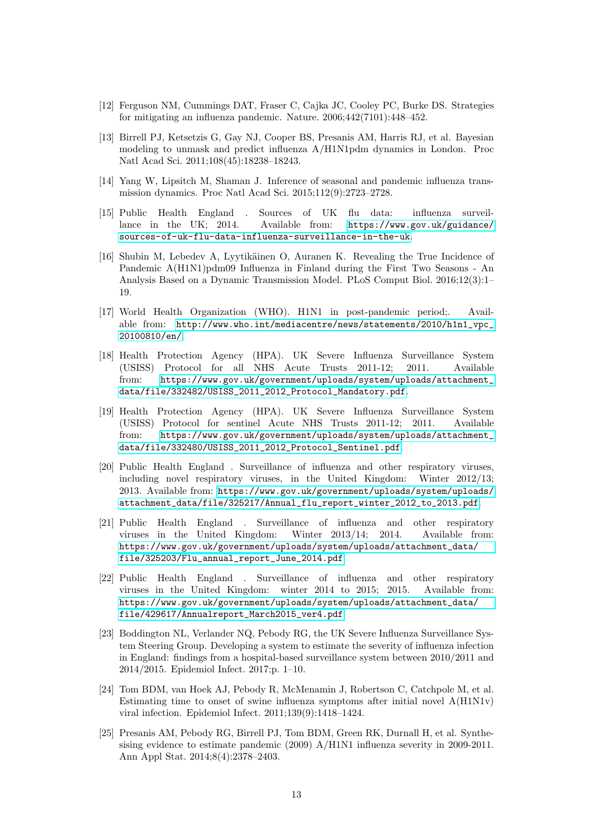- <span id="page-12-0"></span>[12] Ferguson NM, Cummings DAT, Fraser C, Cajka JC, Cooley PC, Burke DS. Strategies for mitigating an influenza pandemic. Nature. 2006;442(7101):448–452.
- <span id="page-12-1"></span>[13] Birrell PJ, Ketsetzis G, Gay NJ, Cooper BS, Presanis AM, Harris RJ, et al. Bayesian modeling to unmask and predict influenza A/H1N1pdm dynamics in London. Proc Natl Acad Sci. 2011;108(45):18238–18243.
- <span id="page-12-2"></span>[14] Yang W, Lipsitch M, Shaman J. Inference of seasonal and pandemic influenza transmission dynamics. Proc Natl Acad Sci. 2015;112(9):2723–2728.
- <span id="page-12-3"></span>[15] Public Health England . Sources of UK flu data: influenza surveillance in the UK; 2014. Available from: [https://www.gov.uk/guidance/](https://www.gov.uk/guidance/sources-of-uk-flu-data-influenza-surveillance-in-the-uk) [sources-of-uk-flu-data-influenza-surveillance-in-the-uk](https://www.gov.uk/guidance/sources-of-uk-flu-data-influenza-surveillance-in-the-uk).
- <span id="page-12-4"></span>[16] Shubin M, Lebedev A, Lyytikäinen O, Auranen K. Revealing the True Incidence of Pandemic A(H1N1)pdm09 Influenza in Finland during the First Two Seasons - An Analysis Based on a Dynamic Transmission Model. PLoS Comput Biol. 2016;12(3):1– 19.
- <span id="page-12-5"></span>[17] World Health Organization (WHO). H1N1 in post-pandemic period;. Available from: [http://www.who.int/mediacentre/news/statements/2010/h1n1\\_vpc\\_](http://www.who.int/mediacentre/news/statements/2010/h1n1_vpc_20100810/en/) [20100810/en/](http://www.who.int/mediacentre/news/statements/2010/h1n1_vpc_20100810/en/).
- <span id="page-12-6"></span>[18] Health Protection Agency (HPA). UK Severe Influenza Surveillance System (USISS) Protocol for all NHS Acute Trusts 2011-12; 2011. Available from: [https://www.gov.uk/government/uploads/system/uploads/attachment\\_](https://www.gov.uk/government/uploads/system/uploads/attachment_data/file/332482/USISS_2011_2012_Protocol_Mandatory.pdf) [data/file/332482/USISS\\_2011\\_2012\\_Protocol\\_Mandatory.pdf](https://www.gov.uk/government/uploads/system/uploads/attachment_data/file/332482/USISS_2011_2012_Protocol_Mandatory.pdf).
- <span id="page-12-7"></span>[19] Health Protection Agency (HPA). UK Severe Influenza Surveillance System (USISS) Protocol for sentinel Acute NHS Trusts 2011-12; 2011. Available from: [https://www.gov.uk/government/uploads/system/uploads/attachment\\_](https://www.gov.uk/government/uploads/system/uploads/attachment_data/file/332480/USISS_2011_2012_Protocol_Sentinel.pdf) [data/file/332480/USISS\\_2011\\_2012\\_Protocol\\_Sentinel.pdf](https://www.gov.uk/government/uploads/system/uploads/attachment_data/file/332480/USISS_2011_2012_Protocol_Sentinel.pdf).
- <span id="page-12-8"></span>[20] Public Health England . Surveillance of influenza and other respiratory viruses, including novel respiratory viruses, in the United Kingdom: Winter 2012/13; 2013. Available from: [https://www.gov.uk/government/uploads/system/uploads/](https://www.gov.uk/government/uploads/system/uploads/attachment_data/file/325217/Annual_flu_report_winter_2012_to_2013.pdf) [attachment\\_data/file/325217/Annual\\_flu\\_report\\_winter\\_2012\\_to\\_2013.pdf](https://www.gov.uk/government/uploads/system/uploads/attachment_data/file/325217/Annual_flu_report_winter_2012_to_2013.pdf).
- <span id="page-12-9"></span>[21] Public Health England . Surveillance of influenza and other respiratory viruses in the United Kingdom: Winter 2013/14; 2014. Available from: [https://www.gov.uk/government/uploads/system/uploads/attachment\\_data/](https://www.gov.uk/government/uploads/system/uploads/attachment_data/file/325203/Flu_annual_report_June_2014.pdf) [file/325203/Flu\\_annual\\_report\\_June\\_2014.pdf](https://www.gov.uk/government/uploads/system/uploads/attachment_data/file/325203/Flu_annual_report_June_2014.pdf).
- <span id="page-12-10"></span>[22] Public Health England . Surveillance of influenza and other respiratory viruses in the United Kingdom: winter 2014 to 2015; 2015. Available from: [https://www.gov.uk/government/uploads/system/uploads/attachment\\_data/](https://www.gov.uk/government/uploads/system/uploads/attachment_data/file/429617/Annualreport_March2015_ver4.pdf) [file/429617/Annualreport\\_March2015\\_ver4.pdf](https://www.gov.uk/government/uploads/system/uploads/attachment_data/file/429617/Annualreport_March2015_ver4.pdf).
- <span id="page-12-11"></span>[23] Boddington NL, Verlander NQ, Pebody RG, the UK Severe Influenza Surveillance System Steering Group. Developing a system to estimate the severity of influenza infection in England: findings from a hospital-based surveillance system between 2010/2011 and 2014/2015. Epidemiol Infect. 2017;p. 1–10.
- <span id="page-12-12"></span>[24] Tom BDM, van Hoek AJ, Pebody R, McMenamin J, Robertson C, Catchpole M, et al. Estimating time to onset of swine influenza symptoms after initial novel  $A(H1N1v)$ viral infection. Epidemiol Infect. 2011;139(9):1418–1424.
- <span id="page-12-13"></span>[25] Presanis AM, Pebody RG, Birrell PJ, Tom BDM, Green RK, Durnall H, et al. Synthesising evidence to estimate pandemic (2009) A/H1N1 influenza severity in 2009-2011. Ann Appl Stat. 2014;8(4):2378–2403.